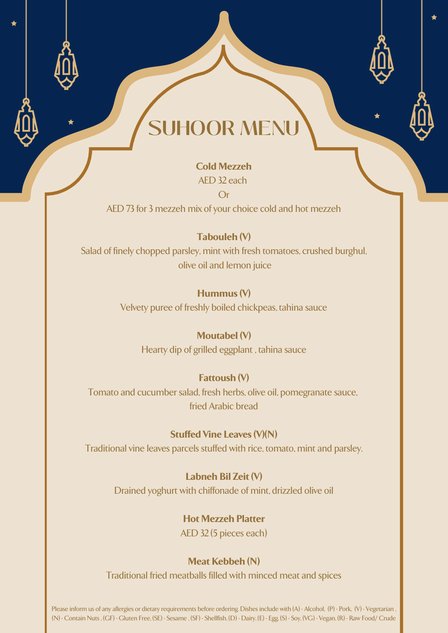#### **Cold Mezzeh**

AED 32 each

Or

AED 73 for 3 mezzeh mix of your choice cold and hot mezzeh

### **Tabouleh (V)**

Salad of finely chopped parsley, mint with fresh tomatoes, crushed burghul, olive oil and lemon juice

#### **Hummus (V)**

Velvety puree of freshly boiled chickpeas, tahina sauce

## **Moutabel (V)**

Hearty dip of grilled eggplant , tahina sauce

#### **Fattoush (V)**

Tomato and cucumber salad, fresh herbs, olive oil, pomegranate sauce, fried Arabic bread

#### **Stuffed Vine Leaves (V)(N)**

Traditional vine leaves parcels stuffed with rice, tomato, mint and parsley.

### **Labneh Bil Zeit (V)**

Drained yoghurt with chiffonade of mint, drizzled olive oil

### **Hot Mezzeh Platter**

AED 32 (5 pieces each)

#### **Meat Kebbeh (N)**

Traditional fried meatballs filled with minced meat and spices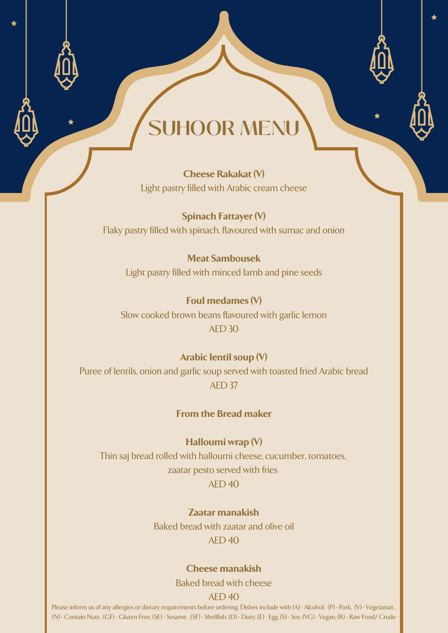**Cheese Rakakat (V)** Light pastry filled with Arabic cream cheese

**Spinach Fattayer (V)** Flaky pastry filled with spinach, flavoured with sumac and onion

**Meat Sambousek** Light pastry filled with minced lamb and pine seeds

**Foul medames (V)** Slow cooked brown beans flavoured with garlic lemon AED 30

**Arabic lentil soup (V)** Puree of lentils, onion and garlic soup served with toasted fried Arabic bread AED 37

#### **From the Bread maker**

**Halloumi wrap (V)** Thin saj bread rolled with halloumi cheese, cucumber, tomatoes, zaatar pesto served with fries AED 40

> **Zaatar manakish** Baked bread with zaatar and olive oil AED 40

#### **Cheese manakish**

Baked bread with cheese

#### AED 40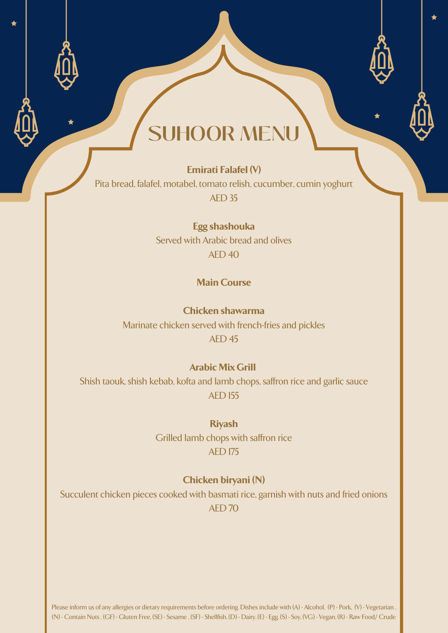#### **Emirati Falafel (V)**

Pita bread, falafel, motabel, tomato relish, cucumber, cumin yoghurt AED 35

> **Egg shashouka** Served with Arabic bread and olives  $AFD 40$

#### **Main Course**

**Chicken shawarma** Marinate chicken served with french-fries and pickles AED 45

#### **Arabic Mix Grill**

Shish taouk, shish kebab, kofta and lamb chops, saffron rice and garlic sauce AED 155

#### **Riyash**

Grilled lamb chops with saffron rice AED 175

#### **Chicken biryani (N)**

Succulent chicken pieces cooked with basmati rice, garnish with nuts and fried onions AED 70